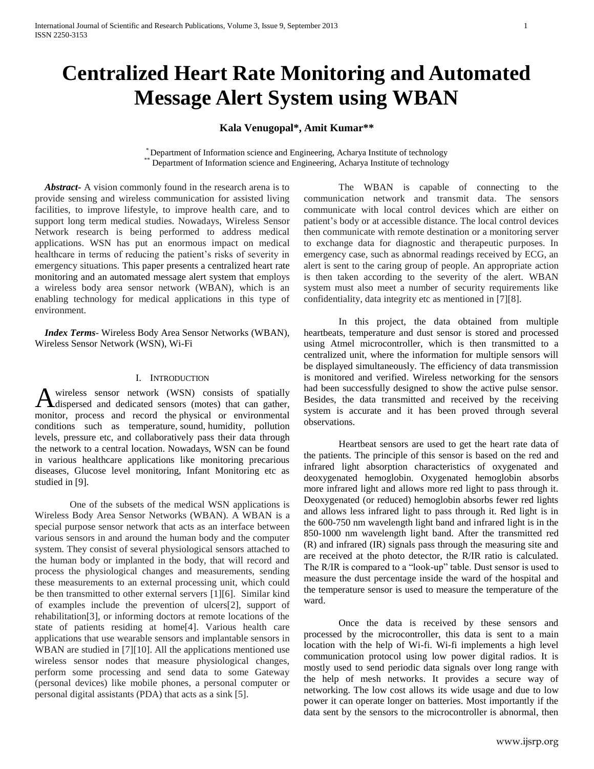# **Centralized Heart Rate Monitoring and Automated Message Alert System using WBAN**

# **Kala Venugopal\*, Amit Kumar\*\***

\* Department of Information science and Engineering, Acharya Institute of technology \* Department of Information science and Engineering, Acharya Institute of technology

 *Abstract***-** A vision commonly found in the research arena is to provide sensing and wireless communication for assisted living facilities, to improve lifestyle, to improve health care, and to support long term medical studies. Nowadays, Wireless Sensor Network research is being performed to address medical applications. WSN has put an enormous impact on medical healthcare in terms of reducing the patient's risks of severity in emergency situations. This paper presents a centralized heart rate monitoring and an automated message alert system that employs a wireless body area sensor network (WBAN), which is an enabling technology for medical applications in this type of environment.

 *Index Terms*- Wireless Body Area Sensor Networks (WBAN), Wireless Sensor Network (WSN), Wi-Fi

### I. INTRODUCTION

wireless sensor network (WSN) consists of spatially A wireless sensor network (WSN) consists of spatially dispersed and dedicated sensors (motes) that can gather, monitor, process and record the physical or environmental conditions such as [temperature,](http://en.wikipedia.org/wiki/Temperature) [sound,](http://en.wikipedia.org/wiki/Sound) humidity, pollution levels, pressure etc, and collaboratively pass their data through the network to a central location. Nowadays, WSN can be found in various healthcare applications like monitoring precarious diseases, Glucose level monitoring, Infant Monitoring etc as studied in [9].

One of the subsets of the medical WSN applications is Wireless Body Area Sensor Networks (WBAN). A WBAN is a special purpose sensor network that acts as an interface between various sensors in and around the human body and the computer system. They consist of several physiological sensors attached to the human body or implanted in the body, that will record and process the physiological changes and measurements, sending these measurements to an external processing unit, which could be then transmitted to other external servers [1][6]. Similar kind of examples include the prevention of ulcers[2], support of rehabilitation[3], or informing doctors at remote locations of the state of patients residing at home[4]. Various health care applications that use wearable sensors and implantable sensors in WBAN are studied in [7][10]. All the applications mentioned use wireless sensor nodes that measure physiological changes, perform some processing and send data to some Gateway (personal devices) like mobile phones, a personal computer or personal digital assistants (PDA) that acts as a sink [5].

The WBAN is capable of connecting to the communication network and transmit data. The sensors communicate with local control devices which are either on patient's body or at accessible distance. The local control devices then communicate with remote destination or a monitoring server to exchange data for diagnostic and therapeutic purposes. In emergency case, such as abnormal readings received by ECG, an alert is sent to the caring group of people. An appropriate action is then taken according to the severity of the alert. WBAN system must also meet a number of security requirements like confidentiality, data integrity etc as mentioned in [7][8].

In this project, the data obtained from multiple heartbeats, temperature and dust sensor is stored and processed using Atmel microcontroller, which is then transmitted to a centralized unit, where the information for multiple sensors will be displayed simultaneously. The efficiency of data transmission is monitored and verified. Wireless networking for the sensors had been successfully designed to show the active pulse sensor. Besides, the data transmitted and received by the receiving system is accurate and it has been proved through several observations.

Heartbeat sensors are used to get the heart rate data of the patients. The principle of this sensor is based on the red and infrared light absorption characteristics of oxygenated and deoxygenated hemoglobin. Oxygenated hemoglobin absorbs more infrared light and allows more red light to pass through it. Deoxygenated (or reduced) hemoglobin absorbs fewer red lights and allows less infrared light to pass through it. Red light is in the 600-750 nm wavelength light band and infrared light is in the 850-1000 nm wavelength light band. After the transmitted red (R) and infrared (IR) signals pass through the measuring site and are received at the photo detector, the R/IR ratio is calculated. The R/IR is compared to a "look-up" table. Dust sensor is used to measure the dust percentage inside the ward of the hospital and the temperature sensor is used to measure the temperature of the ward.

Once the data is received by these sensors and processed by the microcontroller, this data is sent to a main location with the help of Wi-fi. Wi-fi implements a high level communication protocol using low power digital radios. It is mostly used to send periodic data signals over long range with the help of mesh networks. It provides a secure way of networking. The low cost allows its wide usage and due to low power it can operate longer on batteries. Most importantly if the data sent by the sensors to the microcontroller is abnormal, then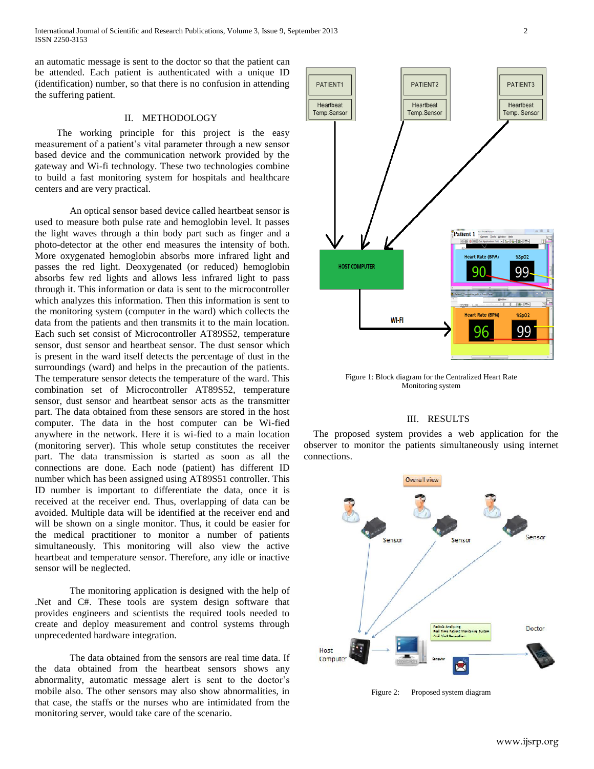International Journal of Scientific and Research Publications, Volume 3, Issue 9, September 2013 2 ISSN 2250-3153

an automatic message is sent to the doctor so that the patient can be attended. Each patient is authenticated with a unique ID (identification) number, so that there is no confusion in attending the suffering patient.

# II. METHODOLOGY

 The working principle for this project is the easy measurement of a patient's vital parameter through a new sensor based device and the communication network provided by the gateway and Wi-fi technology. These two technologies combine to build a fast monitoring system for hospitals and healthcare centers and are very practical.

An optical sensor based device called heartbeat sensor is used to measure both pulse rate and hemoglobin level. It passes the light waves through a thin body part such as finger and a photo-detector at the other end measures the intensity of both. More oxygenated hemoglobin absorbs more infrared light and passes the red light. Deoxygenated (or reduced) hemoglobin absorbs few red lights and allows less infrared light to pass through it. This information or data is sent to the microcontroller which analyzes this information. Then this information is sent to the monitoring system (computer in the ward) which collects the data from the patients and then transmits it to the main location. Each such set consist of Microcontroller AT89S52, temperature sensor, dust sensor and heartbeat sensor. The dust sensor which is present in the ward itself detects the percentage of dust in the surroundings (ward) and helps in the precaution of the patients. The temperature sensor detects the temperature of the ward. This combination set of Microcontroller AT89S52, temperature sensor, dust sensor and heartbeat sensor acts as the transmitter part. The data obtained from these sensors are stored in the host computer. The data in the host computer can be Wi-fied anywhere in the network. Here it is wi-fied to a main location (monitoring server). This whole setup constitutes the receiver part. The data transmission is started as soon as all the connections are done. Each node (patient) has different ID number which has been assigned using AT89S51 controller. This ID number is important to differentiate the data, once it is received at the receiver end. Thus, overlapping of data can be avoided. Multiple data will be identified at the receiver end and will be shown on a single monitor. Thus, it could be easier for the medical practitioner to monitor a number of patients simultaneously. This monitoring will also view the active heartbeat and temperature sensor. Therefore, any idle or inactive sensor will be neglected.

The monitoring application is designed with the help of .Net and C#. These tools are system design software that provides engineers and scientists the required tools needed to create and deploy measurement and control systems through unprecedented hardware integration.

The data obtained from the sensors are real time data. If the data obtained from the heartbeat sensors shows any abnormality, automatic message alert is sent to the doctor's mobile also. The other sensors may also show abnormalities, in that case, the staffs or the nurses who are intimidated from the monitoring server, would take care of the scenario.



Figure 1: Block diagram for the Centralized Heart Rate Monitoring system

## III. RESULTS

 The proposed system provides a web application for the observer to monitor the patients simultaneously using internet connections.



Figure 2: Proposed system diagram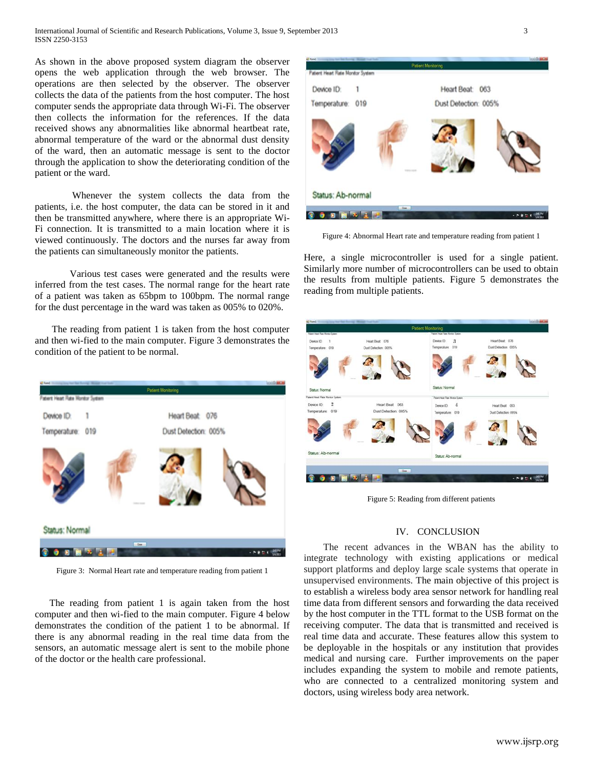As shown in the above proposed system diagram the observer opens the web application through the web browser. The operations are then selected by the observer. The observer collects the data of the patients from the host computer. The host computer sends the appropriate data through Wi-Fi. The observer then collects the information for the references. If the data received shows any abnormalities like abnormal heartbeat rate, abnormal temperature of the ward or the abnormal dust density of the ward, then an automatic message is sent to the doctor through the application to show the deteriorating condition of the patient or the ward.

Whenever the system collects the data from the patients, i.e. the host computer, the data can be stored in it and then be transmitted anywhere, where there is an appropriate Wi-Fi connection. It is transmitted to a main location where it is viewed continuously. The doctors and the nurses far away from the patients can simultaneously monitor the patients.

Various test cases were generated and the results were inferred from the test cases. The normal range for the heart rate of a patient was taken as 65bpm to 100bpm. The normal range for the dust percentage in the ward was taken as 005% to 020%.

 The reading from patient 1 is taken from the host computer and then wi-fied to the main computer. Figure 3 demonstrates the condition of the patient to be normal.



Figure 3: Normal Heart rate and temperature reading from patient 1

 The reading from patient 1 is again taken from the host computer and then wi-fied to the main computer. Figure 4 below demonstrates the condition of the patient 1 to be abnormal. If there is any abnormal reading in the real time data from the sensors, an automatic message alert is sent to the mobile phone of the doctor or the health care professional.



Figure 4: Abnormal Heart rate and temperature reading from patient 1

Here, a single microcontroller is used for a single patient. Similarly more number of microcontrollers can be used to obtain the results from multiple patients. Figure 5 demonstrates the reading from multiple patients.



Figure 5: Reading from different patients

#### IV. CONCLUSION

 The recent advances in the WBAN has the ability to integrate technology with existing applications or medical support platforms and deploy large scale systems that operate in unsupervised environments. The main objective of this project is to establish a wireless body area sensor network for handling real time data from different sensors and forwarding the data received by the host computer in the TTL format to the USB format on the receiving computer. The data that is transmitted and received is real time data and accurate. These features allow this system to be deployable in the hospitals or any institution that provides medical and nursing care. Further improvements on the paper includes expanding the system to mobile and remote patients, who are connected to a centralized monitoring system and doctors, using wireless body area network.